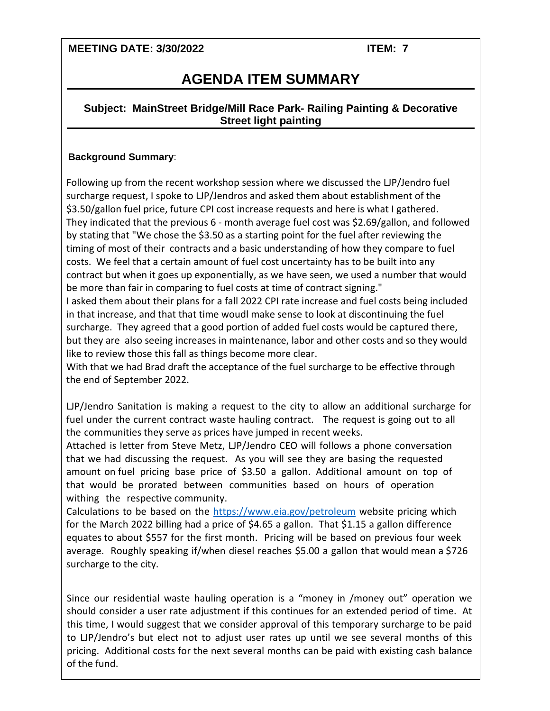**MEETING DATE: 3/30/2022 ITEM: 7**

Moeller Quote.pdf

# **AGENDA ITEM SUMMARY**

### **Subject: MainStreet Bridge/Mill Race Park- Railing Painting & Decorative Street light painting**

#### **Background Summary**:

Following up from the recent workshop session where we discussed the LJP/Jendro fuel surcharge request, I spoke to LJP/Jendros and asked them about establishment of the \$3.50/gallon fuel price, future CPI cost increase requests and here is what I gathered. They indicated that the previous 6 - month average fuel cost was \$2.69/gallon, and followed by stating that "We chose the \$3.50 as a starting point for the fuel after reviewing the timing of most of their contracts and a basic understanding of how they compare to fuel costs. We feel that a certain amount of fuel cost uncertainty has to be built into any contract but when it goes up exponentially, as we have seen, we used a number that would be more than fair in comparing t[o fuel costs at time of contract sign](https://www.eia.gov/petroleum)ing."

I asked them about their plans for a fall 2022 CPI rate increase and fuel costs being included in that increase, and that that time woudl make sense to look at discontinuing the fuel surcharge. They agreed that a good portion of added fuel costs would be captured there, but they are also seeing increases in maintenance, labor and other costs and so they would like to review those this fall as things become more clear.

With that we had Brad draft the acceptance of the fuel surcharge to be effective through the end of September 2022.

LJP/Jendro Sanitation is making a request to the city to allow an additional surcharge for fuel under the current contract waste hauling contract. The request is going out to all the communities they serve as prices have jumped in recent weeks.

Attached is letter from Steve Metz, LJP/Jendro CEO will follows a phone conversation that we had discussing the request. As you will see they are basing the requested amount on fuel pricing base price of \$3.50 a gallon. Additional amount on top of that would be prorated between communities based on hours of operation withing the respective community.

Calculations to be based on the https://www.eia.gov/petroleum website pricing which for the March 2022 billing had a price of \$4.65 a gallon. That \$1.15 a gallon difference equates to about \$557 for the first month. Pricing will be based on previous four week average. Roughly speaking if/when diesel reaches \$5.00 a gallon that would mean a \$726 surcharge to the city.

Since our residential waste hauling operation is a "money in /money out" operation we should consider a user rate adjustment if this continues for an extended period of time. At this time, I would suggest that we consider approval of this temporary surcharge to be paid to LJP/Jendro's but elect not to adjust user rates up until we see several months of this pricing. Additional costs for the next several months can be paid with existing cash balance of the fund.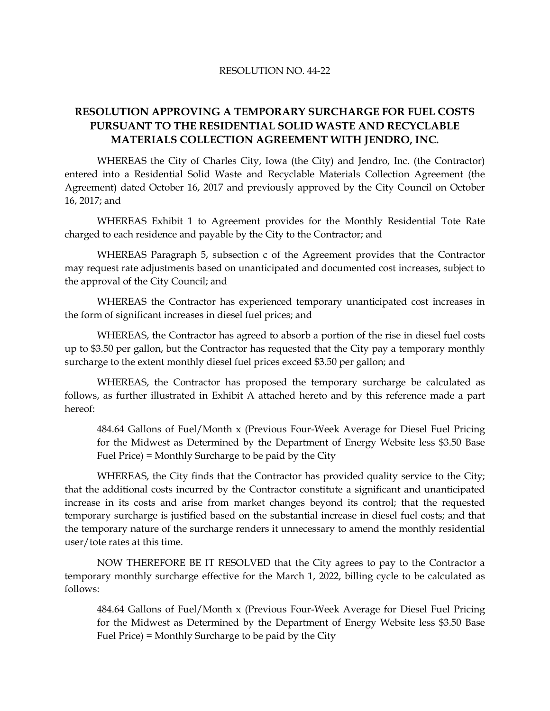#### RESOLUTION NO. 44-22

## **RESOLUTION APPROVING A TEMPORARY SURCHARGE FOR FUEL COSTS PURSUANT TO THE RESIDENTIAL SOLID WASTE AND RECYCLABLE MATERIALS COLLECTION AGREEMENT WITH JENDRO, INC.**

WHEREAS the City of Charles City, Iowa (the City) and Jendro, Inc. (the Contractor) entered into a Residential Solid Waste and Recyclable Materials Collection Agreement (the Agreement) dated October 16, 2017 and previously approved by the City Council on October 16, 2017; and

WHEREAS Exhibit 1 to Agreement provides for the Monthly Residential Tote Rate charged to each residence and payable by the City to the Contractor; and

WHEREAS Paragraph 5, subsection c of the Agreement provides that the Contractor may request rate adjustments based on unanticipated and documented cost increases, subject to the approval of the City Council; and

WHEREAS the Contractor has experienced temporary unanticipated cost increases in the form of significant increases in diesel fuel prices; and

WHEREAS, the Contractor has agreed to absorb a portion of the rise in diesel fuel costs up to \$3.50 per gallon, but the Contractor has requested that the City pay a temporary monthly surcharge to the extent monthly diesel fuel prices exceed \$3.50 per gallon; and

WHEREAS, the Contractor has proposed the temporary surcharge be calculated as follows, as further illustrated in Exhibit A attached hereto and by this reference made a part hereof:

484.64 Gallons of Fuel/Month x (Previous Four-Week Average for Diesel Fuel Pricing for the Midwest as Determined by the Department of Energy Website less \$3.50 Base Fuel Price) = Monthly Surcharge to be paid by the City

WHEREAS, the City finds that the Contractor has provided quality service to the City; that the additional costs incurred by the Contractor constitute a significant and unanticipated increase in its costs and arise from market changes beyond its control; that the requested temporary surcharge is justified based on the substantial increase in diesel fuel costs; and that the temporary nature of the surcharge renders it unnecessary to amend the monthly residential user/tote rates at this time.

NOW THEREFORE BE IT RESOLVED that the City agrees to pay to the Contractor a temporary monthly surcharge effective for the March 1, 2022, billing cycle to be calculated as follows:

484.64 Gallons of Fuel/Month x (Previous Four-Week Average for Diesel Fuel Pricing for the Midwest as Determined by the Department of Energy Website less \$3.50 Base Fuel Price) = Monthly Surcharge to be paid by the City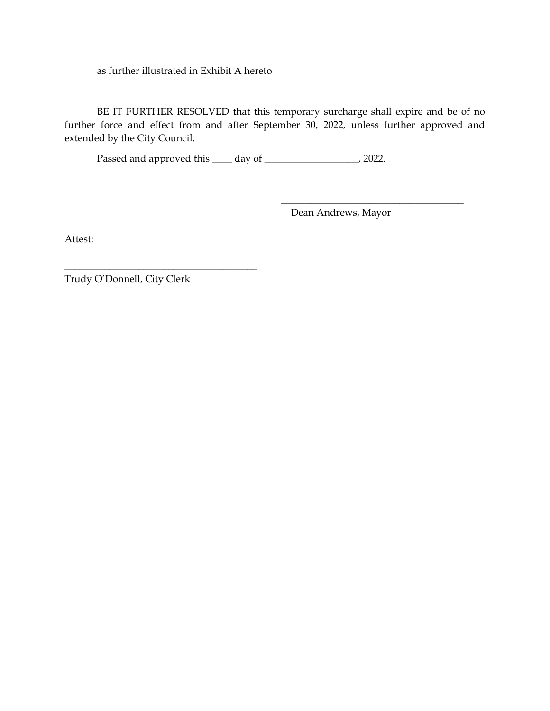as further illustrated in Exhibit A hereto

BE IT FURTHER RESOLVED that this temporary surcharge shall expire and be of no further force and effect from and after September 30, 2022, unless further approved and extended by the City Council.

Passed and approved this \_\_\_\_ day of \_\_\_\_\_\_\_\_\_\_\_\_\_\_\_\_\_\_\_, 2022.

Dean Andrews, Mayor

 $\frac{1}{2}$  ,  $\frac{1}{2}$  ,  $\frac{1}{2}$  ,  $\frac{1}{2}$  ,  $\frac{1}{2}$  ,  $\frac{1}{2}$  ,  $\frac{1}{2}$  ,  $\frac{1}{2}$  ,  $\frac{1}{2}$  ,  $\frac{1}{2}$  ,  $\frac{1}{2}$  ,  $\frac{1}{2}$  ,  $\frac{1}{2}$  ,  $\frac{1}{2}$  ,  $\frac{1}{2}$  ,  $\frac{1}{2}$  ,  $\frac{1}{2}$  ,  $\frac{1}{2}$  ,  $\frac{1$ 

Attest:

Trudy O'Donnell, City Clerk

\_\_\_\_\_\_\_\_\_\_\_\_\_\_\_\_\_\_\_\_\_\_\_\_\_\_\_\_\_\_\_\_\_\_\_\_\_\_\_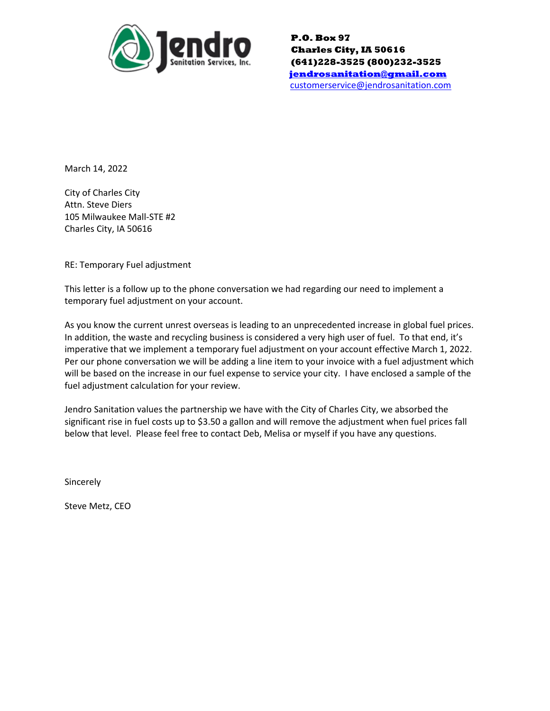

**P.O. Box 97 Charles City, IA 50616 (641)228-3525 (800)232-3525 [jendrosanitation@gmail.com](mailto:jendrosanitation@gmail.com)** [customerservice@jendrosanitation.com](mailto:customerservice@jendrosanitation.com)

March 14, 2022

City of Charles City Attn. Steve Diers 105 Milwaukee Mall-STE #2 Charles City, IA 50616

RE: Temporary Fuel adjustment

This letter is a follow up to the phone conversation we had regarding our need to implement a temporary fuel adjustment on your account.

As you know the current unrest overseas is leading to an unprecedented increase in global fuel prices. In addition, the waste and recycling business is considered a very high user of fuel. To that end, it's imperative that we implement a temporary fuel adjustment on your account effective March 1, 2022. Per our phone conversation we will be adding a line item to your invoice with a fuel adjustment which will be based on the increase in our fuel expense to service your city. I have enclosed a sample of the fuel adjustment calculation for your review.

Jendro Sanitation values the partnership we have with the City of Charles City, we absorbed the significant rise in fuel costs up to \$3.50 a gallon and will remove the adjustment when fuel prices fall below that level. Please feel free to contact Deb, Melisa or myself if you have any questions.

**Sincerely** 

Steve Metz, CEO